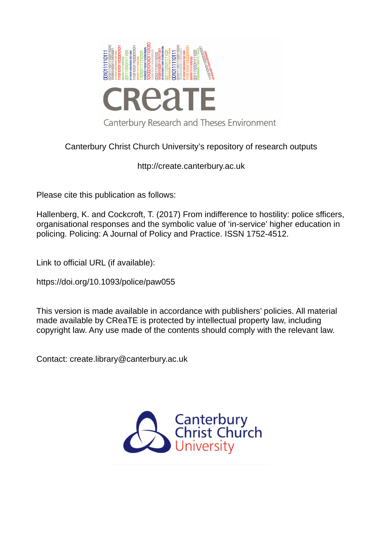

# Canterbury Christ Church University's repository of research outputs

http://create.canterbury.ac.uk

Please cite this publication as follows:

Hallenberg, K. and Cockcroft, T. (2017) From indifference to hostility: police sfficers, organisational responses and the symbolic value of 'in-service' higher education in policing. Policing: A Journal of Policy and Practice. ISSN 1752-4512.

Link to official URL (if available):

https://doi.org/10.1093/police/paw055

This version is made available in accordance with publishers' policies. All material made available by CReaTE is protected by intellectual property law, including copyright law. Any use made of the contents should comply with the relevant law.

Contact: create.library@canterbury.ac.uk

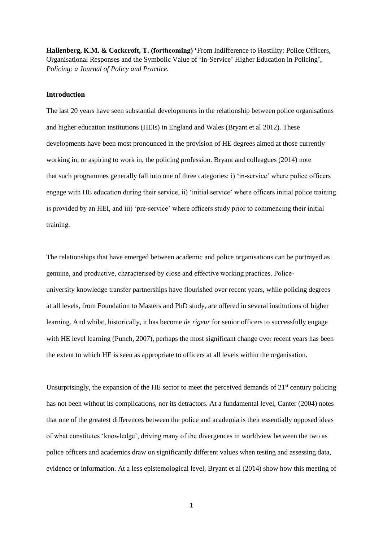**Hallenberg, K.M. & Cockcroft, T. (forthcoming) '**From Indifference to Hostility: Police Officers, Organisational Responses and the Symbolic Value of 'In-Service' Higher Education in Policing', *Policing: a Journal of Policy and Practice.*

## **Introduction**

The last 20 years have seen substantial developments in the relationship between police organisations and higher education institutions (HEIs) in England and Wales (Bryant et al 2012). These developments have been most pronounced in the provision of HE degrees aimed at those currently working in, or aspiring to work in, the policing profession. Bryant and colleagues (2014) note that such programmes generally fall into one of three categories: i) 'in-service' where police officers engage with HE education during their service, ii) 'initial service' where officers initial police training is provided by an HEI, and iii) 'pre-service' where officers study prior to commencing their initial training.

The relationships that have emerged between academic and police organisations can be portrayed as genuine, and productive, characterised by close and effective working practices. Policeuniversity knowledge transfer partnerships have flourished over recent years, while policing degrees at all levels, from Foundation to Masters and PhD study, are offered in several institutions of higher learning. And whilst, historically, it has become *de rigeur* for senior officers to successfully engage with HE level learning (Punch, 2007), perhaps the most significant change over recent years has been the extent to which HE is seen as appropriate to officers at all levels within the organisation.

Unsurprisingly, the expansion of the HE sector to meet the perceived demands of  $21<sup>st</sup>$  century policing has not been without its complications, nor its detractors. At a fundamental level, Canter (2004) notes that one of the greatest differences between the police and academia is their essentially opposed ideas of what constitutes 'knowledge', driving many of the divergences in worldview between the two as police officers and academics draw on significantly different values when testing and assessing data, evidence or information. At a less epistemological level, Bryant et al (2014) show how this meeting of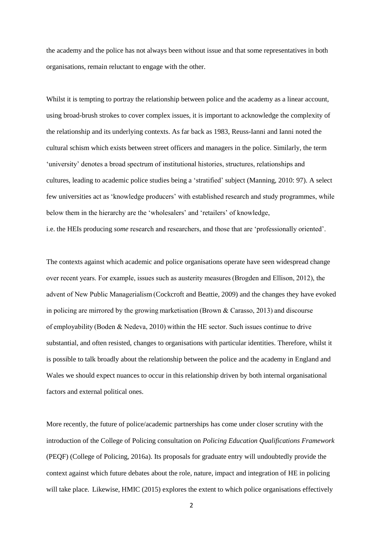the academy and the police has not always been without issue and that some representatives in both organisations, remain reluctant to engage with the other.

Whilst it is tempting to portray the relationship between police and the academy as a linear account, using broad-brush strokes to cover complex issues, it is important to acknowledge the complexity of the relationship and its underlying contexts. As far back as 1983, Reuss-Ianni and Ianni noted the cultural schism which exists between street officers and managers in the police. Similarly, the term 'university' denotes a broad spectrum of institutional histories, structures, relationships and cultures, leading to academic police studies being a 'stratified' subject (Manning, 2010: 97). A select few universities act as 'knowledge producers' with established research and study programmes, while below them in the hierarchy are the 'wholesalers' and 'retailers' of knowledge,

i.e. the HEIs producing *some* research and researchers, and those that are 'professionally oriented'.

The contexts against which academic and police organisations operate have seen widespread change over recent years. For example, issues such as austerity measures (Brogden and Ellison, 2012), the advent of New Public Managerialism (Cockcroft and Beattie, 2009) and the changes they have evoked in policing are mirrored by the growing marketisation (Brown & Carasso, 2013) and discourse of employability (Boden & Nedeva, 2010) within the HE sector. Such issues continue to drive substantial, and often resisted, changes to organisations with particular identities. Therefore, whilst it is possible to talk broadly about the relationship between the police and the academy in England and Wales we should expect nuances to occur in this relationship driven by both internal organisational factors and external political ones.

More recently, the future of police/academic partnerships has come under closer scrutiny with the introduction of the College of Policing consultation on *Policing Education Qualifications Framework* (PEQF) (College of Policing, 2016a). Its proposals for graduate entry will undoubtedly provide the context against which future debates about the role, nature, impact and integration of HE in policing will take place. Likewise, HMIC (2015) explores the extent to which police organisations effectively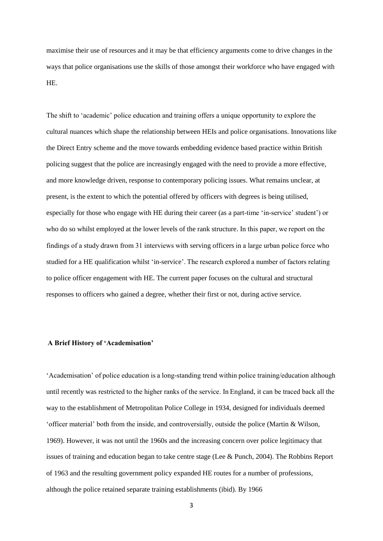maximise their use of resources and it may be that efficiency arguments come to drive changes in the ways that police organisations use the skills of those amongst their workforce who have engaged with HE.

The shift to 'academic' police education and training offers a unique opportunity to explore the cultural nuances which shape the relationship between HEIs and police organisations. Innovations like the Direct Entry scheme and the move towards embedding evidence based practice within British policing suggest that the police are increasingly engaged with the need to provide a more effective, and more knowledge driven, response to contemporary policing issues. What remains unclear, at present, is the extent to which the potential offered by officers with degrees is being utilised, especially for those who engage with HE during their career (as a part-time 'in-service' student') or who do so whilst employed at the lower levels of the rank structure. In this paper, we report on the findings of a study drawn from 31 interviews with serving officers in a large urban police force who studied for a HE qualification whilst 'in-service'. The research explored a number of factors relating to police officer engagement with HE. The current paper focuses on the cultural and structural responses to officers who gained a degree, whether their first or not, during active service.

## **A Brief History of 'Academisation'**

'Academisation' of police education is a long-standing trend within police training/education although until recently was restricted to the higher ranks of the service. In England, it can be traced back all the way to the establishment of Metropolitan Police College in 1934, designed for individuals deemed 'officer material' both from the inside, and controversially, outside the police (Martin & Wilson, 1969). However, it was not until the 1960s and the increasing concern over police legitimacy that issues of training and education began to take centre stage (Lee & Punch, 2004). The Robbins Report of 1963 and the resulting government policy expanded HE routes for a number of professions, although the police retained separate training establishments (ibid). By 1966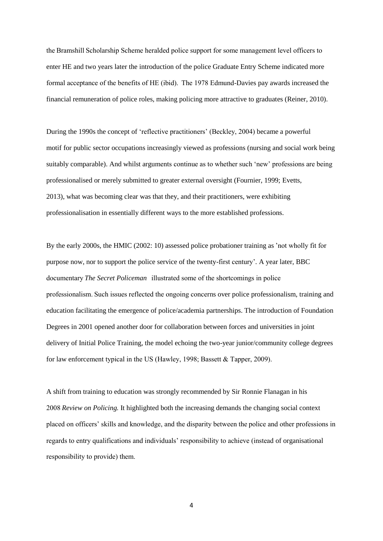the Bramshill Scholarship Scheme heralded police support for some management level officers to enter HE and two years later the introduction of the police Graduate Entry Scheme indicated more formal acceptance of the benefits of HE (ibid).  The 1978 Edmund-Davies pay awards increased the financial remuneration of police roles, making policing more attractive to graduates (Reiner, 2010).

During the 1990s the concept of 'reflective practitioners' (Beckley, 2004) became a powerful motif for public sector occupations increasingly viewed as professions (nursing and social work being suitably comparable). And whilst arguments continue as to whether such 'new' professions are being professionalised or merely submitted to greater external oversight (Fournier, 1999; Evetts, 2013), what was becoming clear was that they, and their practitioners, were exhibiting professionalisation in essentially different ways to the more established professions.

By the early 2000s, the HMIC (2002: 10) assessed police probationer training as 'not wholly fit for purpose now, nor to support the police service of the twenty-first century'*.* A year later, BBC documentary *The Secret Policeman*  illustrated some of the shortcomings in police professionalism. Such issues reflected the ongoing concerns over police professionalism, training and education facilitating the emergence of police/academia partnerships. The introduction of Foundation Degrees in 2001 opened another door for collaboration between forces and universities in joint delivery of Initial Police Training, the model echoing the two-year junior/community college degrees for law enforcement typical in the US (Hawley, 1998; Bassett & Tapper, 2009). 

A shift from training to education was strongly recommended by Sir Ronnie Flanagan in his 2008 *Review on Policing.* It highlighted both the increasing demands the changing social context placed on officers' skills and knowledge, and the disparity between the police and other professions in regards to entry qualifications and individuals' responsibility to achieve (instead of organisational responsibility to provide) them.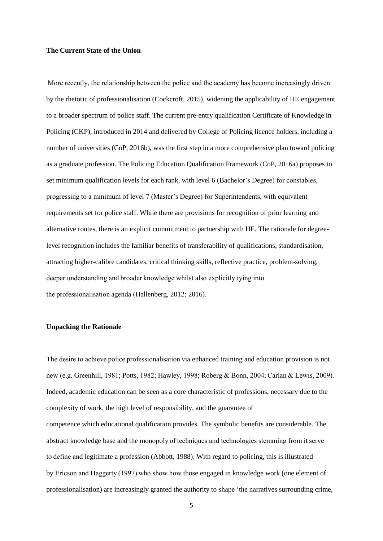#### **The Current State of the Union**

 More recently, the relationship between the police and the academy has become increasingly driven by the rhetoric of professionalisation (Cockcroft, 2015), widening the applicability of HE engagement to a broader spectrum of police staff. The current pre-entry qualification Certificate of Knowledge in Policing (CKP), introduced in 2014 and delivered by College of Policing licence holders, including a number of universities (CoP, 2016b), was the first step in a more comprehensive plan toward policing as a graduate profession. The Policing Education Qualification Framework (CoP, 2016a) proposes to set minimum qualification levels for each rank, with level 6 (Bachelor's Degree) for constables, progressing to a minimum of level 7 (Master's Degree) for Superintendents, with equivalent requirements set for police staff. While there are provisions for recognition of prior learning and alternative routes, there is an explicit commitment to partnership with HE. The rationale for degreelevel recognition includes the familiar benefits of transferability of qualifications, standardisation, attracting higher-calibre candidates, critical thinking skills, reflective practice, problem-solving, deeper understanding and broader knowledge whilst also explicitly tying into the professionalisation agenda (Hallenberg, 2012: 2016). 

## **Unpacking the Rationale**

The desire to achieve police professionalisation via enhanced training and education provision is not new (e.g. Greenhill, 1981; Potts, 1982; Hawley, 1998; Roberg & Bonn, 2004; Carlan & Lewis, 2009). Indeed, academic education can be seen as a core characteristic of professions, necessary due to the complexity of work, the high level of responsibility, and the guarantee of competence which educational qualification provides. The symbolic benefits are considerable. The abstract knowledge base and the monopoly of techniques and technologies stemming from it serve to define and legitimate a profession (Abbott, 1988). With regard to policing, this is illustrated by Ericson and Haggerty (1997) who show how those engaged in knowledge work (one element of professionalisation) are increasingly granted the authority to shape 'the narratives surrounding crime,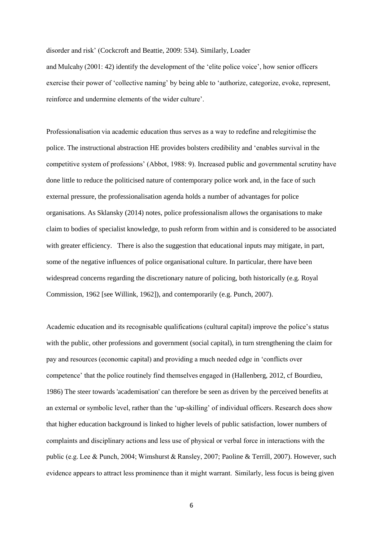#### disorder and risk' (Cockcroft and Beattie, 2009: 534). Similarly, Loader

and Mulcahy (2001: 42) identify the development of the 'elite police voice', how senior officers exercise their power of 'collective naming' by being able to 'authorize, categorize, evoke, represent, reinforce and undermine elements of the wider culture'. 

Professionalisation via academic education thus serves as a way to redefine and relegitimise the police. The instructional abstraction HE provides bolsters credibility and 'enables survival in the competitive system of professions' (Abbot, 1988: 9). Increased public and governmental scrutiny have done little to reduce the politicised nature of contemporary police work and, in the face of such external pressure, the professionalisation agenda holds a number of advantages for police organisations. As Sklansky (2014) notes, police professionalism allows the organisations to make claim to bodies of specialist knowledge, to push reform from within and is considered to be associated with greater efficiency. There is also the suggestion that educational inputs may mitigate, in part, some of the negative influences of police organisational culture. In particular, there have been widespread concerns regarding the discretionary nature of policing, both historically (e.g. Royal Commission, 1962 [see Willink, 1962]), and contemporarily (e.g. Punch, 2007).

Academic education and its recognisable qualifications (cultural capital) improve the police's status with the public, other professions and government (social capital), in turn strengthening the claim for pay and resources (economic capital) and providing a much needed edge in 'conflicts over competence' that the police routinely find themselves engaged in (Hallenberg, 2012, cf Bourdieu, 1986) The steer towards 'academisation' can therefore be seen as driven by the perceived benefits at an external or symbolic level, rather than the 'up-skilling' of individual officers. Research does show that higher education background is linked to higher levels of public satisfaction, lower numbers of complaints and disciplinary actions and less use of physical or verbal force in interactions with the public (e.g. Lee & Punch, 2004; Wimshurst & Ransley, 2007; Paoline & Terrill, 2007). However, such evidence appears to attract less prominence than it might warrant.  Similarly, less focus is being given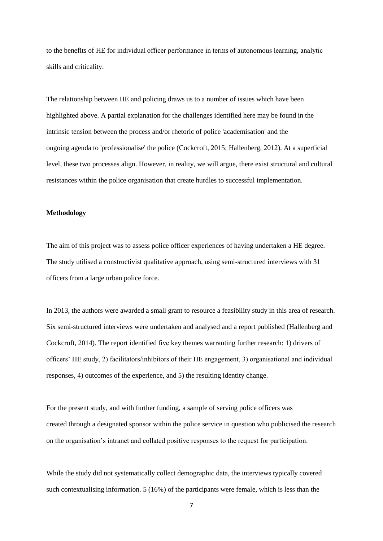to the benefits of HE for individual officer performance in terms of autonomous learning, analytic skills and criticality.

The relationship between HE and policing draws us to a number of issues which have been highlighted above. A partial explanation for the challenges identified here may be found in the intrinsic tension between the process and/or rhetoric of police 'academisation' and the ongoing agenda to 'professionalise' the police (Cockcroft, 2015; Hallenberg, 2012). At a superficial level, these two processes align. However, in reality, we will argue, there exist structural and cultural resistances within the police organisation that create hurdles to successful implementation.

#### **Methodology**

The aim of this project was to assess police officer experiences of having undertaken a HE degree. The study utilised a constructivist qualitative approach, using semi-structured interviews with 31 officers from a large urban police force.

In 2013, the authors were awarded a small grant to resource a feasibility study in this area of research. Six semi-structured interviews were undertaken and analysed and a report published (Hallenberg and Cockcroft, 2014). The report identified five key themes warranting further research: 1) drivers of officers' HE study, 2) facilitators/inhibitors of their HE engagement, 3) organisational and individual responses, 4) outcomes of the experience, and 5) the resulting identity change.

For the present study, and with further funding, a sample of serving police officers was created through a designated sponsor within the police service in question who publicised the research on the organisation's intranet and collated positive responses to the request for participation.

While the study did not systematically collect demographic data, the interviews typically covered such contextualising information. 5 (16%) of the participants were female, which is less than the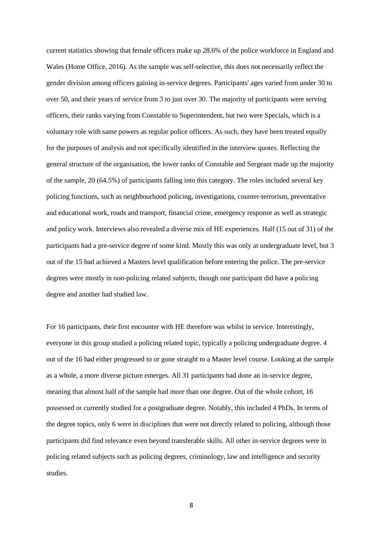current statistics showing that female officers make up 28.6% of the police workforce in England and Wales (Home Office, 2016). As the sample was self-selective, this does not necessarily reflect the gender division among officers gaining in-service degrees. Participants' ages varied from under 30 to over 50, and their years of service from 3 to just over 30. The majority of participants were serving officers, their ranks varying from Constable to Superintendent, but two were Specials, which is a voluntary role with same powers as regular police officers. As such, they have been treated equally for the purposes of analysis and not specifically identified in the interview quotes. Reflecting the general structure of the organisation, the lower ranks of Constable and Sergeant made up the majority of the sample, 20 (64.5%) of participants falling into this category. The roles included several key policing functions, such as neighbourhood policing, investigations, counter-terrorism, preventative and educational work, roads and transport, financial crime, emergency response as well as strategic and policy work. Interviews also revealed a diverse mix of HE experiences. Half (15 out of 31) of the participants had a pre-service degree of some kind. Mostly this was only at undergraduate level, but 3 out of the 15 had achieved a Masters level qualification before entering the police. The pre-service degrees were mostly in non-policing related subjects, though one participant did have a policing degree and another had studied law.

For 16 participants, their first encounter with HE therefore was whilst in service. Interestingly, everyone in this group studied a policing related topic, typically a policing undergraduate degree. 4 out of the 16 had either progressed to or gone straight to a Master level course. Looking at the sample as a whole, a more diverse picture emerges. All 31 participants had done an in-service degree, meaning that almost half of the sample had more than one degree. Out of the whole cohort, 16 possessed or currently studied for a postgraduate degree. Notably, this included 4 PhDs. In terms of the degree topics, only 6 were in disciplines that were not directly related to policing, although those participants did find relevance even beyond transferable skills. All other in-service degrees were in policing related subjects such as policing degrees, criminology, law and intelligence and security studies.

8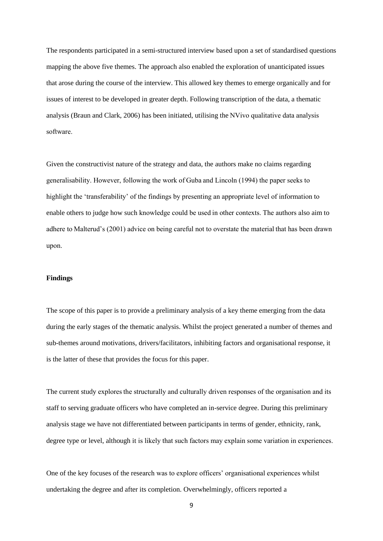The respondents participated in a semi-structured interview based upon a set of standardised questions mapping the above five themes. The approach also enabled the exploration of unanticipated issues that arose during the course of the interview. This allowed key themes to emerge organically and for issues of interest to be developed in greater depth. Following transcription of the data, a thematic analysis (Braun and Clark, 2006) has been initiated, utilising the NVivo qualitative data analysis software. 

Given the constructivist nature of the strategy and data, the authors make no claims regarding generalisability. However, following the work of Guba and Lincoln (1994) the paper seeks to highlight the 'transferability' of the findings by presenting an appropriate level of information to enable others to judge how such knowledge could be used in other contexts. The authors also aim to adhere to Malterud's (2001) advice on being careful not to overstate the material that has been drawn upon. 

# **Findings**

The scope of this paper is to provide a preliminary analysis of a key theme emerging from the data during the early stages of the thematic analysis. Whilst the project generated a number of themes and sub-themes around motivations, drivers/facilitators, inhibiting factors and organisational response, it is the latter of these that provides the focus for this paper.

The current study explores the structurally and culturally driven responses of the organisation and its staff to serving graduate officers who have completed an in-service degree. During this preliminary analysis stage we have not differentiated between participants in terms of gender, ethnicity, rank, degree type or level, although it is likely that such factors may explain some variation in experiences. 

One of the key focuses of the research was to explore officers' organisational experiences whilst undertaking the degree and after its completion. Overwhelmingly, officers reported a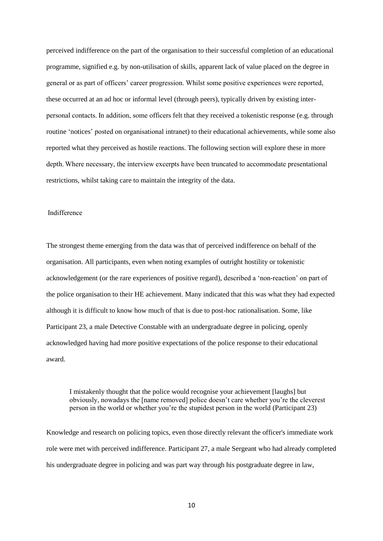perceived indifference on the part of the organisation to their successful completion of an educational programme, signified e.g. by non-utilisation of skills, apparent lack of value placed on the degree in general or as part of officers' career progression. Whilst some positive experiences were reported, these occurred at an ad hoc or informal level (through peers), typically driven by existing interpersonal contacts. In addition, some officers felt that they received a tokenistic response (e.g. through routine 'notices' posted on organisational intranet) to their educational achievements, while some also reported what they perceived as hostile reactions. The following section will explore these in more depth. Where necessary, the interview excerpts have been truncated to accommodate presentational restrictions, whilst taking care to maintain the integrity of the data.

#### Indifference

The strongest theme emerging from the data was that of perceived indifference on behalf of the organisation. All participants, even when noting examples of outright hostility or tokenistic acknowledgement (or the rare experiences of positive regard), described a 'non-reaction' on part of the police organisation to their HE achievement. Many indicated that this was what they had expected although it is difficult to know how much of that is due to post-hoc rationalisation. Some, like Participant 23, a male Detective Constable with an undergraduate degree in policing, openly acknowledged having had more positive expectations of the police response to their educational award.

I mistakenly thought that the police would recognise your achievement [laughs] but obviously, nowadays the [name removed] police doesn't care whether you're the cleverest person in the world or whether you're the stupidest person in the world (Participant 23)

Knowledge and research on policing topics, even those directly relevant the officer's immediate work role were met with perceived indifference. Participant 27, a male Sergeant who had already completed his undergraduate degree in policing and was part way through his postgraduate degree in law,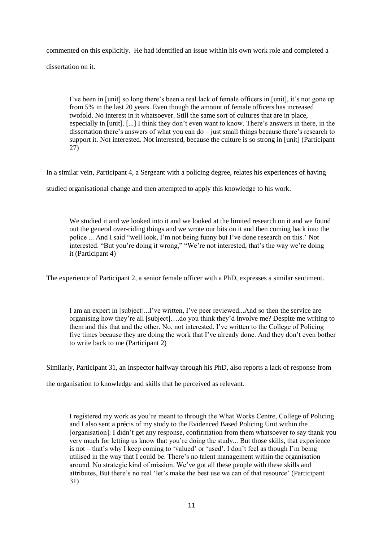commented on this explicitly. He had identified an issue within his own work role and completed a dissertation on it.

I've been in [unit] so long there's been a real lack of female officers in [unit], it's not gone up from 5% in the last 20 years. Even though the amount of female officers has increased twofold. No interest in it whatsoever. Still the same sort of cultures that are in place, especially in [unit]. [...] I think they don't even want to know. There's answers in there, in the dissertation there's answers of what you can  $do -$  just small things because there's research to support it. Not interested. Not interested, because the culture is so strong in [unit] (Participant 27)

In a similar vein, Participant 4, a Sergeant with a policing degree, relates his experiences of having

studied organisational change and then attempted to apply this knowledge to his work.

We studied it and we looked into it and we looked at the limited research on it and we found out the general over-riding things and we wrote our bits on it and then coming back into the police ... And I said "well look, I'm not being funny but I've done research on this.' Not interested. "But you're doing it wrong," "We're not interested, that's the way we're doing it (Participant 4)

The experience of Participant 2, a senior female officer with a PhD, expresses a similar sentiment.

I am an expert in [subject]...I've written, I've peer reviewed...And so then the service are organising how they're all [subject]….do you think they'd involve me? Despite me writing to them and this that and the other. No, not interested. I've written to the College of Policing five times because they are doing the work that I've already done. And they don't even bother to write back to me (Participant 2)

Similarly, Participant 31, an Inspector halfway through his PhD, also reports a lack of response from

the organisation to knowledge and skills that he perceived as relevant.

I registered my work as you're meant to through the What Works Centre, College of Policing and I also sent a précis of my study to the Evidenced Based Policing Unit within the [organisation]. I didn't get any response, confirmation from them whatsoever to say thank you very much for letting us know that you're doing the study... But those skills, that experience is not – that's why I keep coming to 'valued' or 'used'. I don't feel as though I'm being utilised in the way that I could be. There's no talent management within the organisation around. No strategic kind of mission. We've got all these people with these skills and attributes, But there's no real 'let's make the best use we can of that resource' (Participant 31)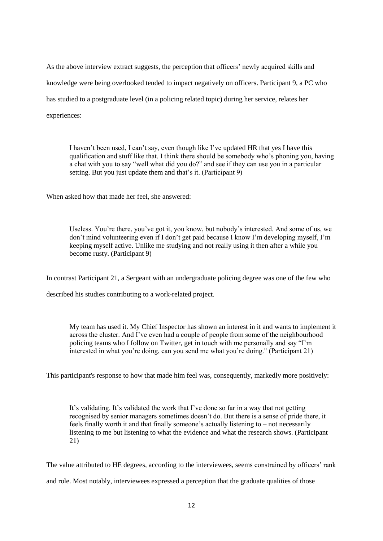As the above interview extract suggests, the perception that officers' newly acquired skills and knowledge were being overlooked tended to impact negatively on officers. Participant 9, a PC who has studied to a postgraduate level (in a policing related topic) during her service, relates her experiences:

I haven't been used, I can't say, even though like I've updated HR that yes I have this qualification and stuff like that. I think there should be somebody who's phoning you, having a chat with you to say "well what did you do?" and see if they can use you in a particular setting. But you just update them and that's it. (Participant 9)

When asked how that made her feel, she answered:

Useless. You're there, you've got it, you know, but nobody's interested. And some of us, we don't mind volunteering even if I don't get paid because I know I'm developing myself, I'm keeping myself active. Unlike me studying and not really using it then after a while you become rusty. (Participant 9)

In contrast Participant 21, a Sergeant with an undergraduate policing degree was one of the few who

described his studies contributing to a work-related project.

My team has used it. My Chief Inspector has shown an interest in it and wants to implement it across the cluster. And I've even had a couple of people from some of the neighbourhood policing teams who I follow on Twitter, get in touch with me personally and say "I'm interested in what you're doing, can you send me what you're doing." (Participant 21)

This participant's response to how that made him feel was, consequently, markedly more positively:

It's validating. It's validated the work that I've done so far in a way that not getting recognised by senior managers sometimes doesn't do. But there is a sense of pride there, it feels finally worth it and that finally someone's actually listening to – not necessarily listening to me but listening to what the evidence and what the research shows. (Participant 21)

The value attributed to HE degrees, according to the interviewees, seems constrained by officers' rank and role. Most notably, interviewees expressed a perception that the graduate qualities of those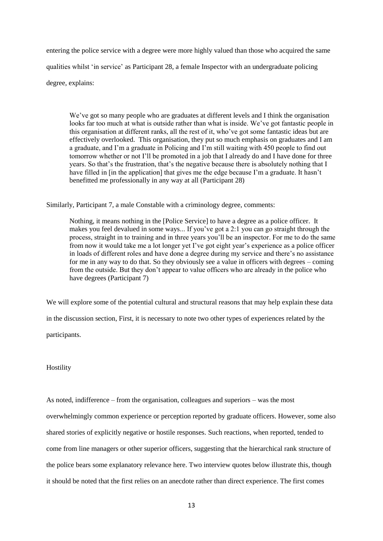entering the police service with a degree were more highly valued than those who acquired the same qualities whilst 'in service' as Participant 28, a female Inspector with an undergraduate policing degree, explains:

We've got so many people who are graduates at different levels and I think the organisation looks far too much at what is outside rather than what is inside. We've got fantastic people in this organisation at different ranks, all the rest of it, who've got some fantastic ideas but are effectively overlooked. This organisation, they put so much emphasis on graduates and I am a graduate, and I'm a graduate in Policing and I'm still waiting with 450 people to find out tomorrow whether or not I'll be promoted in a job that I already do and I have done for three years. So that's the frustration, that's the negative because there is absolutely nothing that I have filled in [in the application] that gives me the edge because I'm a graduate. It hasn't benefitted me professionally in any way at all (Participant 28)

Similarly, Participant 7, a male Constable with a criminology degree, comments:

Nothing, it means nothing in the [Police Service] to have a degree as a police officer. It makes you feel devalued in some ways... If you've got a 2:1 you can go straight through the process, straight in to training and in three years you'll be an inspector. For me to do the same from now it would take me a lot longer yet I've got eight year's experience as a police officer in loads of different roles and have done a degree during my service and there's no assistance for me in any way to do that. So they obviously see a value in officers with degrees – coming from the outside. But they don't appear to value officers who are already in the police who have degrees (Participant 7)

We will explore some of the potential cultural and structural reasons that may help explain these data in the discussion section, First, it is necessary to note two other types of experiences related by the participants.

# Hostility

As noted, indifference – from the organisation, colleagues and superiors – was the most overwhelmingly common experience or perception reported by graduate officers. However, some also shared stories of explicitly negative or hostile responses. Such reactions, when reported, tended to come from line managers or other superior officers, suggesting that the hierarchical rank structure of the police bears some explanatory relevance here. Two interview quotes below illustrate this, though it should be noted that the first relies on an anecdote rather than direct experience. The first comes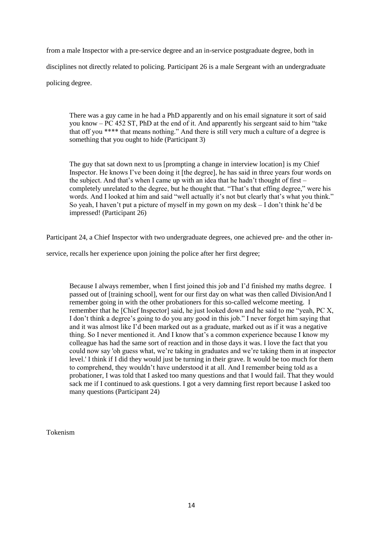from a male Inspector with a pre-service degree and an in-service postgraduate degree, both in disciplines not directly related to policing. Participant 26 is a male Sergeant with an undergraduate policing degree.

There was a guy came in he had a PhD apparently and on his email signature it sort of said you know – PC 452 ST, PhD at the end of it. And apparently his sergeant said to him "take that off you \*\*\*\* that means nothing." And there is still very much a culture of a degree is something that you ought to hide (Participant 3)

The guy that sat down next to us [prompting a change in interview location] is my Chief Inspector. He knows I've been doing it [the degree], he has said in three years four words on the subject. And that's when I came up with an idea that he hadn't thought of first – completely unrelated to the degree, but he thought that. "That's that effing degree," were his words. And I looked at him and said "well actually it's not but clearly that's what you think." So yeah, I haven't put a picture of myself in my gown on my desk – I don't think he'd be impressed! (Participant 26)

Participant 24, a Chief Inspector with two undergraduate degrees, one achieved pre- and the other in-

service, recalls her experience upon joining the police after her first degree;

Because I always remember, when I first joined this job and I'd finished my maths degree. I passed out of [training school], went for our first day on what was then called DivisionAnd I remember going in with the other probationers for this so-called welcome meeting. I remember that he [Chief Inspector] said, he just looked down and he said to me "yeah, PC X, I don't think a degree's going to do you any good in this job." I never forget him saying that and it was almost like I'd been marked out as a graduate, marked out as if it was a negative thing. So I never mentioned it. And I know that's a common experience because I know my colleague has had the same sort of reaction and in those days it was. I love the fact that you could now say 'oh guess what, we're taking in graduates and we're taking them in at inspector level.' I think if I did they would just be turning in their grave. It would be too much for them to comprehend, they wouldn't have understood it at all. And I remember being told as a probationer, I was told that I asked too many questions and that I would fail. That they would sack me if I continued to ask questions. I got a very damning first report because I asked too many questions (Participant 24)

Tokenism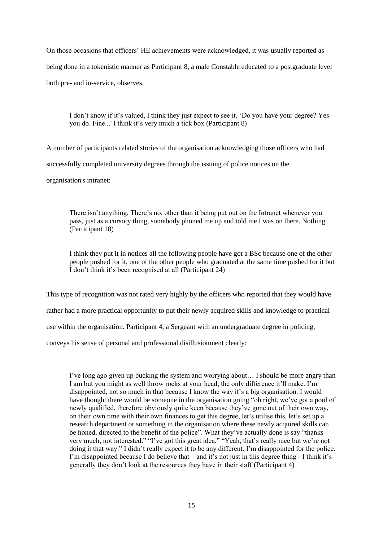On those occasions that officers' HE achievements were acknowledged, it was usually reported as being done in a tokenistic manner as Participant 8, a male Constable educated to a postgraduate level both pre- and in-service, observes.

I don't know if it's valued, I think they just expect to see it. 'Do you have your degree? Yes you do. Fine...' I think it's very much a tick box (Participant 8)

A number of participants related stories of the organisation acknowledging those officers who had successfully completed university degrees through the issuing of police notices on the organisation's intranet:

There isn't anything. There's no, other than it being put out on the Intranet whenever you pass, just as a cursory thing, somebody phoned me up and told me I was on there. Nothing (Participant 18)

I think they put it in notices all the following people have got a BSc because one of the other people pushed for it, one of the other people who graduated at the same time pushed for it but I don't think it's been recognised at all (Participant 24)

This type of recognition was not rated very highly by the officers who reported that they would have

rather had a more practical opportunity to put their newly acquired skills and knowledge to practical

use within the organisation. Participant 4, a Sergeant with an undergraduate degree in policing,

conveys his sense of personal and professional disillusionment clearly:

I've long ago given up bucking the system and worrying about… I should be more angry than I am but you might as well throw rocks at your head, the only difference it'll make. I'm disappointed, not so much in that because I know the way it's a big organisation. I would have thought there would be someone in the organisation going "oh right, we've got a pool of newly qualified, therefore obviously quite keen because they've gone out of their own way, on their own time with their own finances to get this degree, let's utilise this, let's set up a research department or something in the organisation where these newly acquired skills can be honed, directed to the benefit of the police". What they've actually done is say "thanks very much, not interested." "I've got this great idea." "Yeah, that's really nice but we're not doing it that way." I didn't really expect it to be any different. I'm disappointed for the police. I'm disappointed because I do believe that – and it's not just in this degree thing - I think it's generally they don't look at the resources they have in their staff (Participant 4)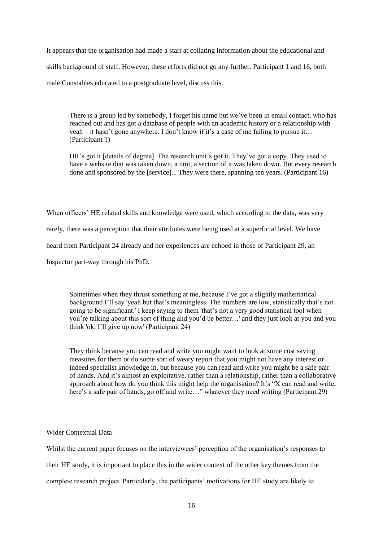It appears that the organisation had made a start at collating information about the educational and skills background of staff. However, these efforts did not go any further. Participant 1 and 16, both male Constables educated to a postgraduate level, discuss this.

There is a group led by somebody, I forget his name but we've been in email contact, who has reached out and has got a database of people with an academic history or a relationship with – yeah – it hasn't gone anywhere. I don't know if it's a case of me failing to pursue it… (Participant 1)

HR's got it [details of degree]. The research unit's got it. They've got a copy. They used to have a website that was taken down, a unit, a section of it was taken down. But every research done and sponsored by the [service]... They were there, spanning ten years. (Participant 16)

When officers' HE related skills and knowledge were used, which according to the data, was very rarely, there was a perception that their attributes were being used at a superficial level. We have heard from Participant 24 already and her experiences are echoed in those of Participant 29, an

Inspector part-way through his PhD.

Sometimes when they thrust something at me, because I've got a slightly mathematical background I'll say 'yeah but that's meaningless. The numbers are low, statistically that's not going to be significant.' I keep saying to them 'that's not a very good statistical tool when you're talking about this sort of thing and you'd be better…' and they just look at you and you think 'ok, I'll give up now' (Participant 24)

They think because you can read and write you might want to look at some cost saving measures for them or do some sort of weary report that you might not have any interest or indeed specialist knowledge in, but because you can read and write you might be a safe pair of hands. And it's almost an exploitative, rather than a relationship, rather than a collaborative approach about how do you think this might help the organisation? It's "X can read and write, here's a safe pair of hands, go off and write..." whatever they need writing (Participant 29)

Wider Contextual Data

Whilst the current paper focuses on the interviewees' perception of the organisation's responses to

their HE study, it is important to place this in the wider context of the other key themes from the

complete research project. Particularly, the participants' motivations for HE study are likely to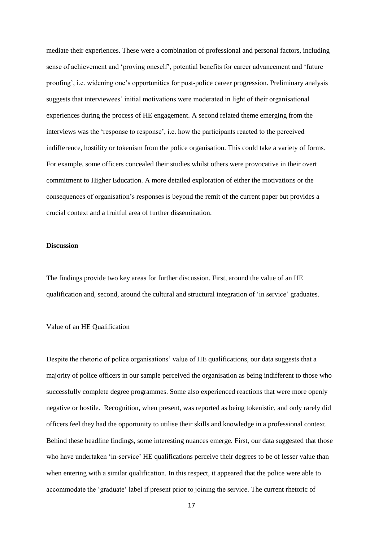mediate their experiences. These were a combination of professional and personal factors, including sense of achievement and 'proving oneself', potential benefits for career advancement and 'future proofing', i.e. widening one's opportunities for post-police career progression. Preliminary analysis suggests that interviewees' initial motivations were moderated in light of their organisational experiences during the process of HE engagement. A second related theme emerging from the interviews was the 'response to response', i.e. how the participants reacted to the perceived indifference, hostility or tokenism from the police organisation. This could take a variety of forms. For example, some officers concealed their studies whilst others were provocative in their overt commitment to Higher Education. A more detailed exploration of either the motivations or the consequences of organisation's responses is beyond the remit of the current paper but provides a crucial context and a fruitful area of further dissemination.

#### **Discussion**

The findings provide two key areas for further discussion. First, around the value of an HE qualification and, second, around the cultural and structural integration of 'in service' graduates.

## Value of an HE Qualification

Despite the rhetoric of police organisations' value of HE qualifications, our data suggests that a majority of police officers in our sample perceived the organisation as being indifferent to those who successfully complete degree programmes. Some also experienced reactions that were more openly negative or hostile. Recognition, when present, was reported as being tokenistic, and only rarely did officers feel they had the opportunity to utilise their skills and knowledge in a professional context. Behind these headline findings, some interesting nuances emerge. First, our data suggested that those who have undertaken 'in-service' HE qualifications perceive their degrees to be of lesser value than when entering with a similar qualification. In this respect, it appeared that the police were able to accommodate the 'graduate' label if present prior to joining the service. The current rhetoric of

17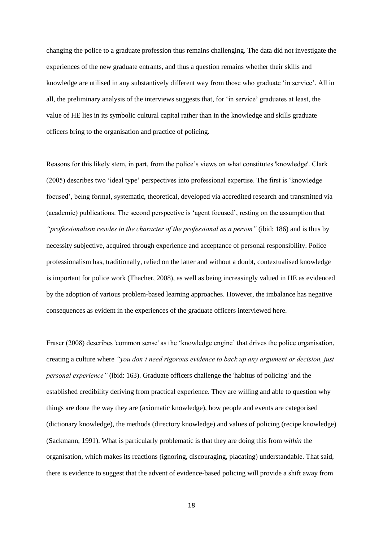changing the police to a graduate profession thus remains challenging. The data did not investigate the experiences of the new graduate entrants, and thus a question remains whether their skills and knowledge are utilised in any substantively different way from those who graduate 'in service'. All in all, the preliminary analysis of the interviews suggests that, for 'in service' graduates at least, the value of HE lies in its symbolic cultural capital rather than in the knowledge and skills graduate officers bring to the organisation and practice of policing.

Reasons for this likely stem, in part, from the police's views on what constitutes 'knowledge'. Clark (2005) describes two 'ideal type' perspectives into professional expertise. The first is 'knowledge focused', being formal, systematic, theoretical, developed via accredited research and transmitted via (academic) publications. The second perspective is 'agent focused', resting on the assumption that *"professionalism resides in the character of the professional as a person"* (ibid: 186) and is thus by necessity subjective, acquired through experience and acceptance of personal responsibility. Police professionalism has, traditionally, relied on the latter and without a doubt, contextualised knowledge is important for police work (Thacher, 2008), as well as being increasingly valued in HE as evidenced by the adoption of various problem-based learning approaches. However, the imbalance has negative consequences as evident in the experiences of the graduate officers interviewed here.

Fraser (2008) describes 'common sense' as the 'knowledge engine' that drives the police organisation, creating a culture where *"you don't need rigorous evidence to back up any argument or decision, just personal experience"* (ibid: 163). Graduate officers challenge the 'habitus of policing' and the established credibility deriving from practical experience. They are willing and able to question why things are done the way they are (axiomatic knowledge), how people and events are categorised (dictionary knowledge), the methods (directory knowledge) and values of policing (recipe knowledge) (Sackmann, 1991). What is particularly problematic is that they are doing this from *within* the organisation, which makes its reactions (ignoring, discouraging, placating) understandable. That said, there is evidence to suggest that the advent of evidence-based policing will provide a shift away from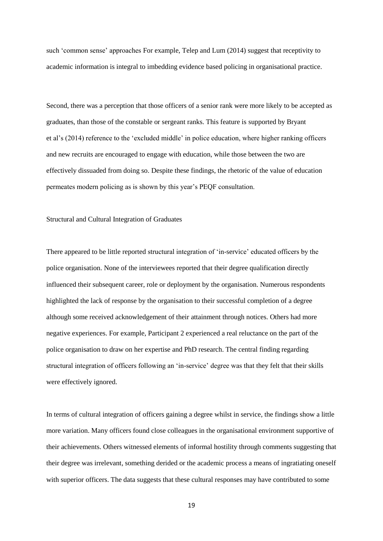such 'common sense' approaches For example, Telep and Lum (2014) suggest that receptivity to academic information is integral to imbedding evidence based policing in organisational practice.

Second, there was a perception that those officers of a senior rank were more likely to be accepted as graduates, than those of the constable or sergeant ranks. This feature is supported by Bryant et al's (2014) reference to the 'excluded middle' in police education, where higher ranking officers and new recruits are encouraged to engage with education, while those between the two are effectively dissuaded from doing so. Despite these findings, the rhetoric of the value of education permeates modern policing as is shown by this year's PEQF consultation.

## Structural and Cultural Integration of Graduates

There appeared to be little reported structural integration of 'in-service' educated officers by the police organisation. None of the interviewees reported that their degree qualification directly influenced their subsequent career, role or deployment by the organisation. Numerous respondents highlighted the lack of response by the organisation to their successful completion of a degree although some received acknowledgement of their attainment through notices. Others had more negative experiences. For example, Participant 2 experienced a real reluctance on the part of the police organisation to draw on her expertise and PhD research. The central finding regarding structural integration of officers following an 'in-service' degree was that they felt that their skills were effectively ignored.

In terms of cultural integration of officers gaining a degree whilst in service, the findings show a little more variation. Many officers found close colleagues in the organisational environment supportive of their achievements. Others witnessed elements of informal hostility through comments suggesting that their degree was irrelevant, something derided or the academic process a means of ingratiating oneself with superior officers. The data suggests that these cultural responses may have contributed to some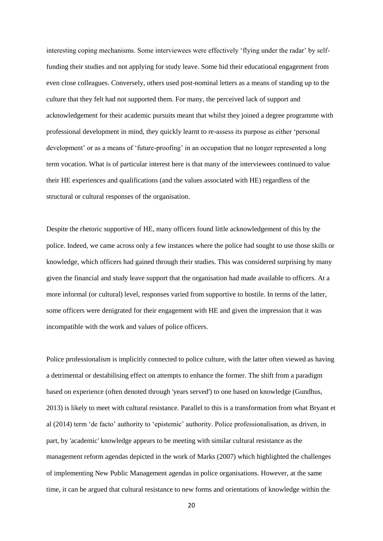interesting coping mechanisms. Some interviewees were effectively 'flying under the radar' by selffunding their studies and not applying for study leave. Some hid their educational engagement from even close colleagues. Conversely, others used post-nominal letters as a means of standing up to the culture that they felt had not supported them. For many, the perceived lack of support and acknowledgement for their academic pursuits meant that whilst they joined a degree programme with professional development in mind, they quickly learnt to re-assess its purpose as either 'personal development' or as a means of 'future-proofing' in an occupation that no longer represented a long term vocation. What is of particular interest here is that many of the interviewees continued to value their HE experiences and qualifications (and the values associated with HE) regardless of the structural or cultural responses of the organisation.

Despite the rhetoric supportive of HE, many officers found little acknowledgement of this by the police. Indeed, we came across only a few instances where the police had sought to use those skills or knowledge, which officers had gained through their studies. This was considered surprising by many given the financial and study leave support that the organisation had made available to officers. At a more informal (or cultural) level, responses varied from supportive to hostile. In terms of the latter, some officers were denigrated for their engagement with HE and given the impression that it was incompatible with the work and values of police officers.

Police professionalism is implicitly connected to police culture, with the latter often viewed as having a detrimental or destabilising effect on attempts to enhance the former. The shift from a paradigm based on experience (often denoted through 'years served') to one based on knowledge (Gundhus, 2013) is likely to meet with cultural resistance. Parallel to this is a transformation from what Bryant et al (2014) term 'de facto' authority to 'epistemic' authority. Police professionalisation, as driven, in part, by 'academic' knowledge appears to be meeting with similar cultural resistance as the management reform agendas depicted in the work of Marks (2007) which highlighted the challenges of implementing New Public Management agendas in police organisations. However, at the same time, it can be argued that cultural resistance to new forms and orientations of knowledge within the

20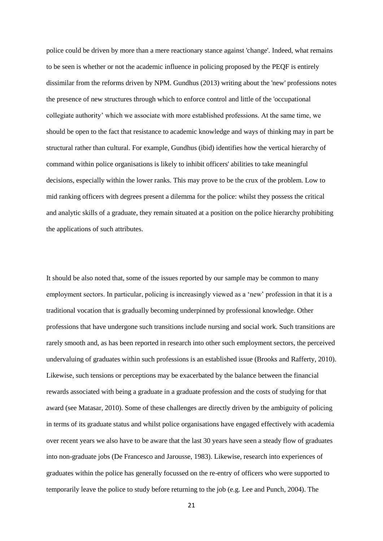police could be driven by more than a mere reactionary stance against 'change'. Indeed, what remains to be seen is whether or not the academic influence in policing proposed by the PEQF is entirely dissimilar from the reforms driven by NPM. Gundhus (2013) writing about the 'new' professions notes the presence of new structures through which to enforce control and little of the 'occupational collegiate authority' which we associate with more established professions. At the same time, we should be open to the fact that resistance to academic knowledge and ways of thinking may in part be structural rather than cultural. For example, Gundhus (ibid) identifies how the vertical hierarchy of command within police organisations is likely to inhibit officers' abilities to take meaningful decisions, especially within the lower ranks. This may prove to be the crux of the problem. Low to mid ranking officers with degrees present a dilemma for the police: whilst they possess the critical and analytic skills of a graduate, they remain situated at a position on the police hierarchy prohibiting the applications of such attributes.

It should be also noted that, some of the issues reported by our sample may be common to many employment sectors. In particular, policing is increasingly viewed as a 'new' profession in that it is a traditional vocation that is gradually becoming underpinned by professional knowledge. Other professions that have undergone such transitions include nursing and social work. Such transitions are rarely smooth and, as has been reported in research into other such employment sectors, the perceived undervaluing of graduates within such professions is an established issue (Brooks and Rafferty, 2010). Likewise, such tensions or perceptions may be exacerbated by the balance between the financial rewards associated with being a graduate in a graduate profession and the costs of studying for that award (see Matasar, 2010). Some of these challenges are directly driven by the ambiguity of policing in terms of its graduate status and whilst police organisations have engaged effectively with academia over recent years we also have to be aware that the last 30 years have seen a steady flow of graduates into non-graduate jobs (De Francesco and Jarousse, 1983). Likewise, research into experiences of graduates within the police has generally focussed on the re-entry of officers who were supported to temporarily leave the police to study before returning to the job (e.g. Lee and Punch, 2004). The

21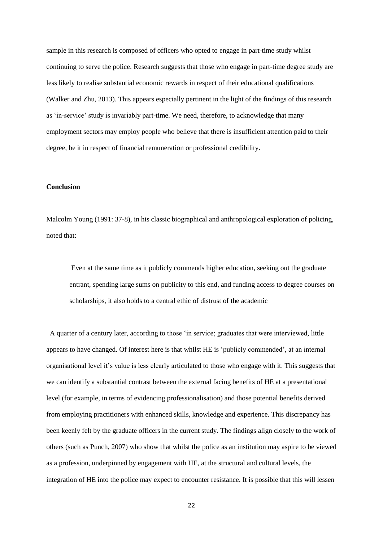sample in this research is composed of officers who opted to engage in part-time study whilst continuing to serve the police. Research suggests that those who engage in part-time degree study are less likely to realise substantial economic rewards in respect of their educational qualifications (Walker and Zhu, 2013). This appears especially pertinent in the light of the findings of this research as 'in-service' study is invariably part-time. We need, therefore, to acknowledge that many employment sectors may employ people who believe that there is insufficient attention paid to their degree, be it in respect of financial remuneration or professional credibility.

# **Conclusion**

Malcolm Young (1991: 37-8), in his classic biographical and anthropological exploration of policing, noted that:

Even at the same time as it publicly commends higher education, seeking out the graduate entrant, spending large sums on publicity to this end, and funding access to degree courses on scholarships, it also holds to a central ethic of distrust of the academic

A quarter of a century later, according to those 'in service; graduates that were interviewed, little appears to have changed. Of interest here is that whilst HE is 'publicly commended', at an internal organisational level it's value is less clearly articulated to those who engage with it. This suggests that we can identify a substantial contrast between the external facing benefits of HE at a presentational level (for example, in terms of evidencing professionalisation) and those potential benefits derived from employing practitioners with enhanced skills, knowledge and experience. This discrepancy has been keenly felt by the graduate officers in the current study. The findings align closely to the work of others (such as Punch, 2007) who show that whilst the police as an institution may aspire to be viewed as a profession, underpinned by engagement with HE, at the structural and cultural levels, the integration of HE into the police may expect to encounter resistance. It is possible that this will lessen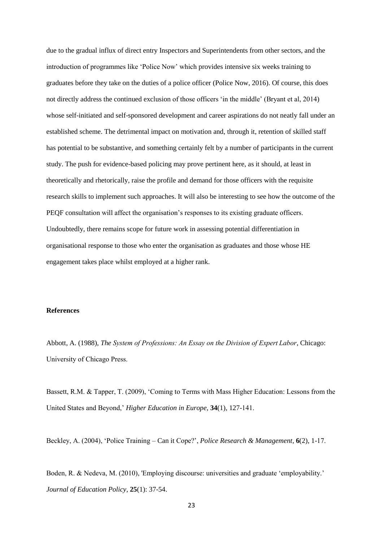due to the gradual influx of direct entry Inspectors and Superintendents from other sectors, and the introduction of programmes like 'Police Now' which provides intensive six weeks training to graduates before they take on the duties of a police officer (Police Now, 2016). Of course, this does not directly address the continued exclusion of those officers 'in the middle' (Bryant et al, 2014) whose self-initiated and self-sponsored development and career aspirations do not neatly fall under an established scheme. The detrimental impact on motivation and, through it, retention of skilled staff has potential to be substantive, and something certainly felt by a number of participants in the current study. The push for evidence-based policing may prove pertinent here, as it should, at least in theoretically and rhetorically, raise the profile and demand for those officers with the requisite research skills to implement such approaches. It will also be interesting to see how the outcome of the PEQF consultation will affect the organisation's responses to its existing graduate officers. Undoubtedly, there remains scope for future work in assessing potential differentiation in organisational response to those who enter the organisation as graduates and those whose HE engagement takes place whilst employed at a higher rank.

## **References**

Abbott, A. (1988), *The System of Professions: An Essay on the Division of Expert Labor*, Chicago: University of Chicago Press. 

Bassett, R.M. & Tapper, T. (2009), 'Coming to Terms with Mass Higher Education: Lessons from the United States and Beyond,' *Higher Education in Europe*, **34**(1), 127-141. 

Beckley, A. (2004), 'Police Training – Can it Cope?', *Police Research & Management*, **6**(2), 1-17. 

Boden, R. & Nedeva, M. (2010), 'Employing discourse: universities and graduate 'employability.' *Journal of Education Policy*, **25**(1): 37-54.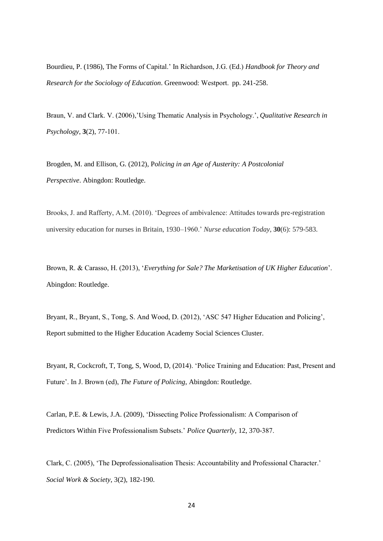Bourdieu, P. (1986), The Forms of Capital.' In Richardson, J.G. (Ed.) *Handbook for Theory and Research for the Sociology of Education*. Greenwood: Westport.  pp. 241-258.

Braun, V. and Clark. V. (2006),'Using Thematic Analysis in Psychology.', *Qualitative Research in Psychology*, **3**(2), 77-101. 

Brogden, M. and Ellison, G. (2012), P*olicing in an Age of Austerity: A Postcolonial Perspective*. Abingdon: Routledge.

Brooks, J. and Rafferty, A.M. (2010). 'Degrees of ambivalence: Attitudes towards pre-registration university education for nurses in Britain, 1930–1960.' *Nurse education Today*, **30**(6): 579-583.

Brown, R. & Carasso, H. (2013), '*Everything for Sale? The Marketisation of UK Higher Education*'. Abingdon: Routledge.

Bryant, R., Bryant, S., Tong, S. And Wood, D. (2012), 'ASC 547 Higher Education and Policing', Report submitted to the Higher Education Academy Social Sciences Cluster.

Bryant, R, Cockcroft, T, Tong, S, Wood, D, (2014). 'Police Training and Education: Past, Present and Future'. In J. Brown (ed), *The Future of Policing*, Abingdon: Routledge.

Carlan, P.E. & Lewis, J.A. (2009), 'Dissecting Police Professionalism: A Comparison of Predictors Within Five Professionalism Subsets.' *Police Quarterly*, 12, 370-387. 

Clark, C. (2005), 'The Deprofessionalisation Thesis: Accountability and Professional Character.' *Social Work & Society*, 3(2), 182-190.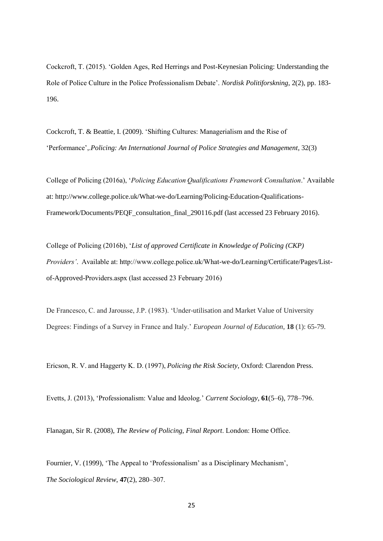Cockcroft, T. (2015). 'Golden Ages, Red Herrings and Post-Keynesian Policing: Understanding the Role of Police Culture in the Police Professionalism Debate'. *Nordisk Politiforskning*, 2(2), pp. 183- 196.

Cockcroft, T. & Beattie, I. (2009). 'Shifting Cultures: Managerialism and the Rise of 'Performance',.*Policing: An International Journal of Police Strategies and Management*, 32(3)

College of Policing (2016a), '*Policing Education Qualifications Framework Consultation*.' Available at: http://www.college.police.uk/What-we-do/Learning/Policing-Education-Qualifications-Framework/Documents/PEQF\_consultation\_final\_290116.pdf (last accessed 23 February 2016).

College of Policing (2016b), '*List of approved Certificate in Knowledge of Policing (CKP) Providers'*.  Available at: http://www.college.police.uk/What-we-do/Learning/Certificate/Pages/Listof-Approved-Providers.aspx (last accessed 23 February 2016) 

De Francesco, C. and Jarousse, J.P. (1983). 'Under-utilisation and Market Value of University Degrees: Findings of a Survey in France and Italy.' *European Journal of Education*, **18** (1): 65-79.

Ericson, R. V. and Haggerty K. D. (1997), *Policing the Risk Society*, Oxford: Clarendon Press.

Evetts, J. (2013), 'Professionalism: Value and Ideolog.' *Current Sociology*, **61**(5–6), 778–796. 

Flanagan, Sir R. (2008), *The Review of Policing, Final Report*. London: Home Office. 

Fournier, V. (1999), 'The Appeal to 'Professionalism' as a Disciplinary Mechanism', *The Sociological Review*, **47**(2), 280–307.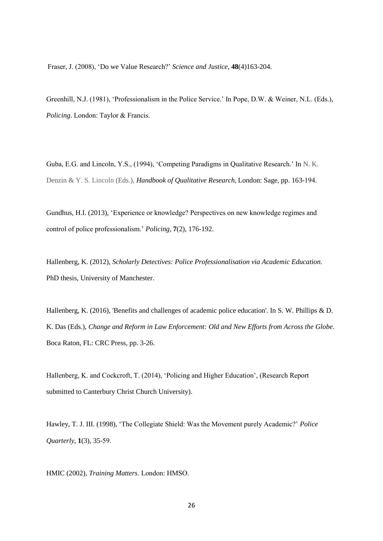Fraser, J. (2008), 'Do we Value Research?' *Science and Justice*, **48**(4)163-204.

Greenhill, N.J. (1981), 'Professionalism in the Police Service.' In Pope, D.W. & Weiner, N.L. (Eds.), *Policing*. London: Taylor & Francis. 

Guba, E.G. and Lincoln, Y.S., (1994), 'Competing Paradigms in Qualitative Research.' In N. K. Denzin & Y. S. Lincoln (Eds.), *Handbook of Qualitative Research*, London: Sage, pp. 163-194. 

Gundhus, H.I. (2013), 'Experience or knowledge? Perspectives on new knowledge regimes and control of police professionalism.' *Policing*, **7**(2), 176-192.

Hallenberg, K. (2012), *Scholarly Detectives: Police Professionalisation via Academic Education.* PhD thesis, University of Manchester.

Hallenberg, K. (2016), 'Benefits and challenges of academic police education'. In S. W. Phillips & D. K. Das (Eds.), *Change and Reform in Law Enforcement: Old and New Efforts from Across the Globe*. Boca Raton, FL: CRC Press, pp. 3-26.

Hallenberg, K. and Cockcroft, T. (2014), 'Policing and Higher Education', (Research Report submitted to Canterbury Christ Church University).   

Hawley, T. J. III. (1998), 'The Collegiate Shield: Was the Movement purely Academic?' *Police Quarterly*, **1**(3), 35-59. 

HMIC (2002), *Training Matters*. London: HMSO.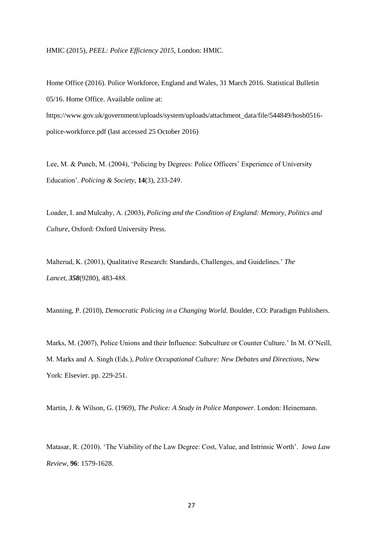HMIC (2015), *PEEL: Police Efficiency 2015*, London: HMIC.

Home Office (2016). Police Workforce, England and Wales, 31 March 2016. Statistical Bulletin 05/16. Home Office. Available online at: https://www.gov.uk/government/uploads/system/uploads/attachment\_data/file/544849/hosb0516 police-workforce.pdf (last accessed 25 October 2016)

Lee, M. & Punch, M. (2004), 'Policing by Degrees: Police Officers' Experience of University Education'. *Policing & Society*, **14**(3), 233-249. 

Loader, I. and Mulcahy, A. (2003), *Policing and the Condition of England: Memory, Politics and Culture*, Oxford: Oxford University Press.

Malterud, K. (2001), Qualitative Research: Standards, Challenges, and Guidelines.' *The Lancet*, *358*(9280), 483-488. 

Manning, P. (2010), *Democratic Policing in a Changing World.* Boulder, CO: Paradigm Publishers.

Marks, M. (2007), Police Unions and their Influence: Subculture or Counter Culture.' In M. O'Neill, M. Marks and A. Singh (Eds.), *Police Occupational Culture: New Debates and Directions*, New York: Elsevier. pp. 229-251.

Martin, J. & Wilson, G. (1969), *The Police: A Study in Police Manpower*. London: Heinemann. 

Matasar, R. (2010). 'The Viability of the Law Degree: Cost, Value, and Intrinsic Worth'. *Iowa Law Review*, **96**: 1579-1628.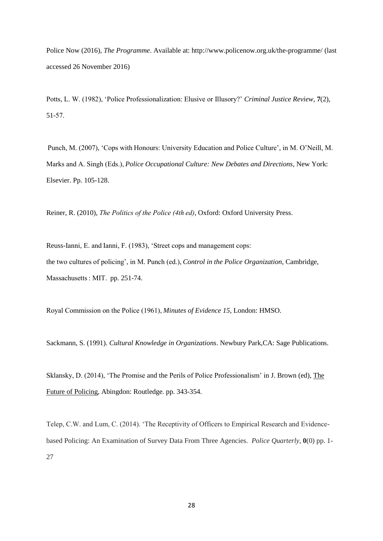Police Now (2016), *The Programme*. Available at: http://www.policenow.org.uk/the-programme/ (last accessed 26 November 2016)

Potts, L. W. (1982), 'Police Professionalization: Elusive or Illusory?' *Criminal Justice Review*, **7**(2), 51-57. 

Punch, M. (2007), 'Cops with Honours: University Education and Police Culture', in M. O'Neill, M. Marks and A. Singh (Eds.), *Police Occupational Culture: New Debates and Directions*, New York: Elsevier. Pp. 105-128.

Reiner, R. (2010), *The Politics of the Police (4th ed)*, Oxford: Oxford University Press. 

Reuss-Ianni, E. and Ianni, F. (1983), 'Street cops and management cops:  the two cultures of policing', in M. Punch (ed.), *Control in the Police Organization*, Cambridge, Massachusetts : MIT. pp. 251-74.

Royal Commission on the Police (1961), *Minutes of Evidence 15*, London: HMSO.

Sackmann, S. (1991). *Cultural Knowledge in Organizations*. Newbury Park,CA: Sage Publications.

Sklansky, D. (2014), 'The Promise and the Perils of Police Professionalism' in J. Brown (ed), The Future of Policing, Abingdon: Routledge. pp. 343-354.

Telep, C.W. and Lum, C. (2014). 'The Receptivity of Officers to Empirical Research and Evidencebased Policing: An Examination of Survey Data From Three Agencies. *Police Quarterly*, **0**(0) pp. 1- 27